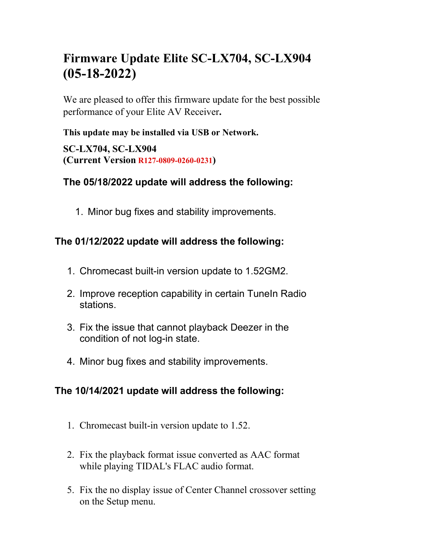# **Firmware Update Elite SC-LX704, SC-LX904 (05-18-2022)**

We are pleased to offer this firmware update for the best possible performance of your Elite AV Receiver**.**

#### **This update may be installed via USB or Network.**

**SC-LX704, SC-LX904 (Current Version R127-0809-0260-0231)**

#### **The 05/18/2022 update will address the following:**

1. Minor bug fixes and stability improvements.

## **The 01/12/2022 update will address the following:**

- 1. Chromecast built-in version update to 1.52GM2.
- 2. Improve reception capability in certain TuneIn Radio stations.
- 3. Fix the issue that cannot playback Deezer in the condition of not log-in state.
- 4. Minor bug fixes and stability improvements.

## **The 10/14/2021 update will address the following:**

- 1. Chromecast built-in version update to 1.52.
- 2. Fix the playback format issue converted as AAC format while playing TIDAL's FLAC audio format.
- 5. Fix the no display issue of Center Channel crossover setting on the Setup menu.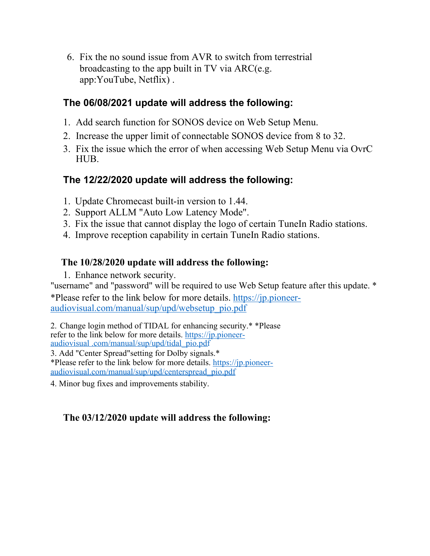6. Fix the no sound issue from AVR to switch from terrestrial broadcasting to the app built in TV via ARC(e.g. app:YouTube, Netflix) .

#### **The 06/08/2021 update will address the following:**

- 1. Add search function for SONOS device on Web Setup Menu.
- 2. Increase the upper limit of connectable SONOS device from 8 to 32.
- 3. Fix the issue which the error of when accessing Web Setup Menu via OvrC HUB.

#### **The 12/22/2020 update will address the following:**

- 1. Update Chromecast built-in version to 1.44.
- 2. Support ALLM "Auto Low Latency Mode".
- 3. Fix the issue that cannot display the logo of certain TuneIn Radio stations.
- 4. Improve reception capability in certain TuneIn Radio stations.

#### **The 10/28/2020 update will address the following:**

1. Enhance network security.

"username" and "password" will be required to use Web Setup feature after this update. \* \*Please refer to the link below for more details. https://jp.pioneeraudiovisual.com/manual/sup/upd/websetup\_pio.pdf

2. Change login method of TIDAL for enhancing security.\* \*Please refer to the link below for more details. https://jp.pioneeraudiovisual .com/manual/sup/upd/tidal\_pio.pdf 3. Add "Center Spread"setting for Dolby signals.\* \*Please refer to the link below for more details. https://jp.pioneer-

audiovisual.com/manual/sup/upd/centerspread\_pio.pdf

4. Minor bug fixes and improvements stability.

#### **The 03/12/2020 update will address the following:**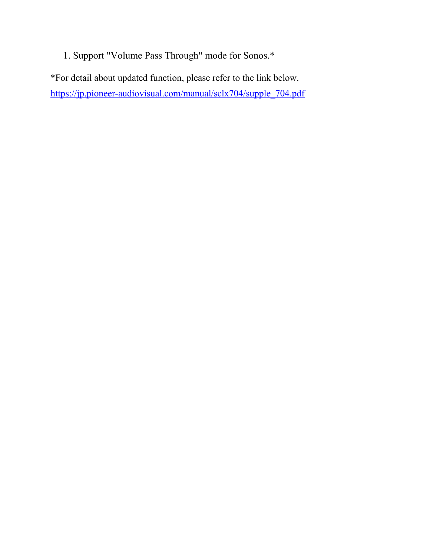1. Support "Volume Pass Through" mode for Sonos.\*

\*For detail about updated function, please refer to the link below. https://jp.pioneer-audiovisual.com/manual/sclx704/supple\_704.pdf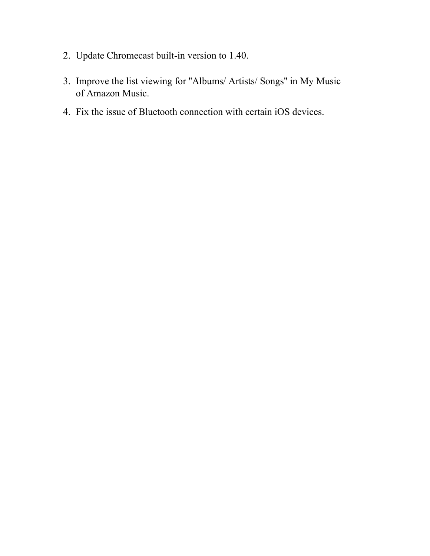- 2. Update Chromecast built-in version to 1.40.
- 3. Improve the list viewing for ''Albums/ Artists/ Songs'' in My Music of Amazon Music.
- 4. Fix the issue of Bluetooth connection with certain iOS devices.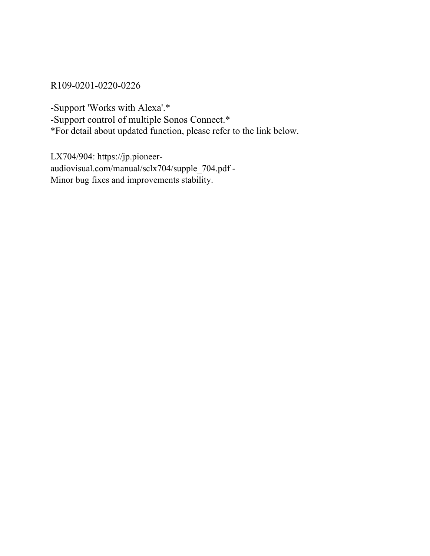#### R109-0201-0220-0226

-Support 'Works with Alexa'.\*

-Support control of multiple Sonos Connect.\*

\*For detail about updated function, please refer to the link below.

LX704/904: https://jp.pioneeraudiovisual.com/manual/sclx704/supple\_704.pdf - Minor bug fixes and improvements stability.